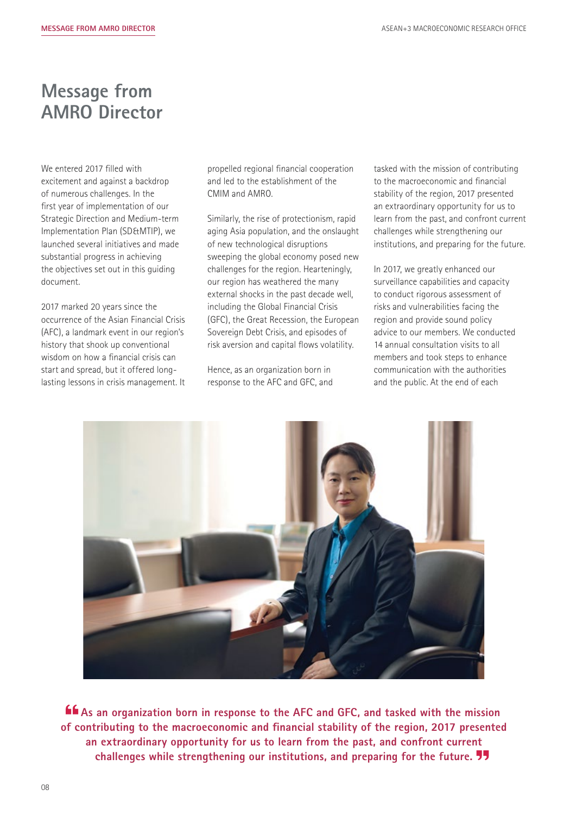## **Message from AMRO Director**

We entered 2017 filled with excitement and against a backdrop of numerous challenges. In the first year of implementation of our Strategic Direction and Medium-term Implementation Plan (SD&MTIP), we launched several initiatives and made substantial progress in achieving the objectives set out in this guiding document.

2017 marked 20 years since the occurrence of the Asian Financial Crisis (AFC), a landmark event in our region's history that shook up conventional wisdom on how a financial crisis can start and spread, but it offered longlasting lessons in crisis management. It propelled regional financial cooperation and led to the establishment of the CMIM and AMRO.

Similarly, the rise of protectionism, rapid aging Asia population, and the onslaught of new technological disruptions sweeping the global economy posed new challenges for the region. Hearteningly, our region has weathered the many external shocks in the past decade well, including the Global Financial Crisis (GFC), the Great Recession, the European Sovereign Debt Crisis, and episodes of risk aversion and capital flows volatility.

Hence, as an organization born in response to the AFC and GFC, and tasked with the mission of contributing to the macroeconomic and financial stability of the region, 2017 presented an extraordinary opportunity for us to learn from the past, and confront current challenges while strengthening our institutions, and preparing for the future.

In 2017, we greatly enhanced our surveillance capabilities and capacity to conduct rigorous assessment of risks and vulnerabilities facing the region and provide sound policy advice to our members. We conducted 14 annual consultation visits to all members and took steps to enhance communication with the authorities and the public. At the end of each



**As an organization born in response to the AFC and GFC, and tasked with the mission of contributing to the macroeconomic and financial stability of the region, 2017 presented an extraordinary opportunity for us to learn from the past, and confront current challenges while strengthening our institutions, and preparing for the future.**